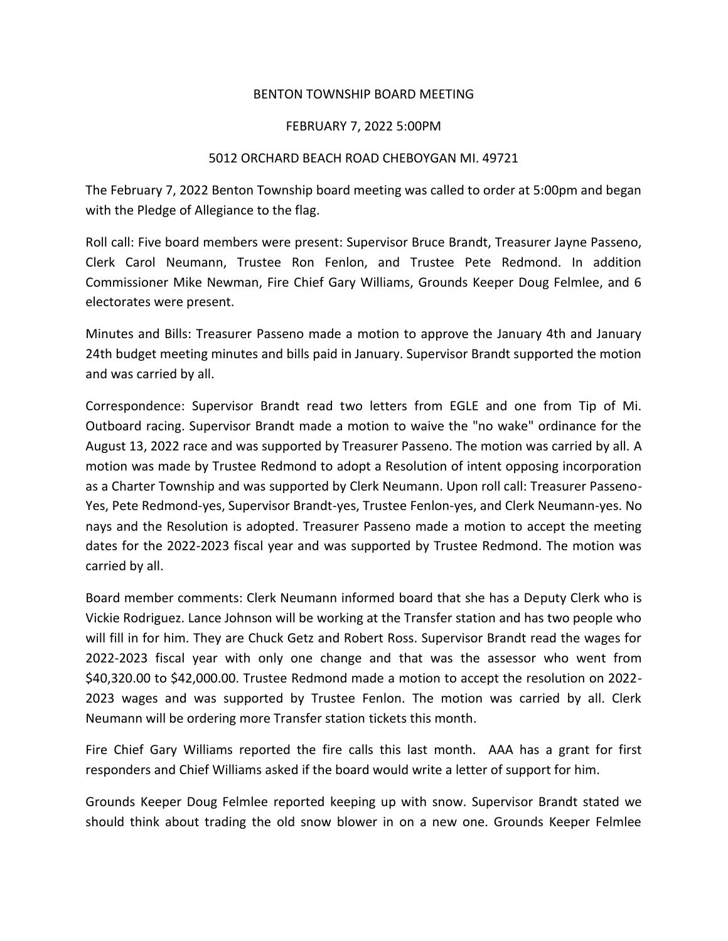## BENTON TOWNSHIP BOARD MEETING

## FEBRUARY 7, 2022 5:00PM

## 5012 ORCHARD BEACH ROAD CHEBOYGAN MI. 49721

The February 7, 2022 Benton Township board meeting was called to order at 5:00pm and began with the Pledge of Allegiance to the flag.

Roll call: Five board members were present: Supervisor Bruce Brandt, Treasurer Jayne Passeno, Clerk Carol Neumann, Trustee Ron Fenlon, and Trustee Pete Redmond. In addition Commissioner Mike Newman, Fire Chief Gary Williams, Grounds Keeper Doug Felmlee, and 6 electorates were present.

Minutes and Bills: Treasurer Passeno made a motion to approve the January 4th and January 24th budget meeting minutes and bills paid in January. Supervisor Brandt supported the motion and was carried by all.

Correspondence: Supervisor Brandt read two letters from EGLE and one from Tip of Mi. Outboard racing. Supervisor Brandt made a motion to waive the "no wake" ordinance for the August 13, 2022 race and was supported by Treasurer Passeno. The motion was carried by all. A motion was made by Trustee Redmond to adopt a Resolution of intent opposing incorporation as a Charter Township and was supported by Clerk Neumann. Upon roll call: Treasurer Passeno-Yes, Pete Redmond-yes, Supervisor Brandt-yes, Trustee Fenlon-yes, and Clerk Neumann-yes. No nays and the Resolution is adopted. Treasurer Passeno made a motion to accept the meeting dates for the 2022-2023 fiscal year and was supported by Trustee Redmond. The motion was carried by all.

Board member comments: Clerk Neumann informed board that she has a Deputy Clerk who is Vickie Rodriguez. Lance Johnson will be working at the Transfer station and has two people who will fill in for him. They are Chuck Getz and Robert Ross. Supervisor Brandt read the wages for 2022-2023 fiscal year with only one change and that was the assessor who went from \$40,320.00 to \$42,000.00. Trustee Redmond made a motion to accept the resolution on 2022- 2023 wages and was supported by Trustee Fenlon. The motion was carried by all. Clerk Neumann will be ordering more Transfer station tickets this month.

Fire Chief Gary Williams reported the fire calls this last month. AAA has a grant for first responders and Chief Williams asked if the board would write a letter of support for him.

Grounds Keeper Doug Felmlee reported keeping up with snow. Supervisor Brandt stated we should think about trading the old snow blower in on a new one. Grounds Keeper Felmlee